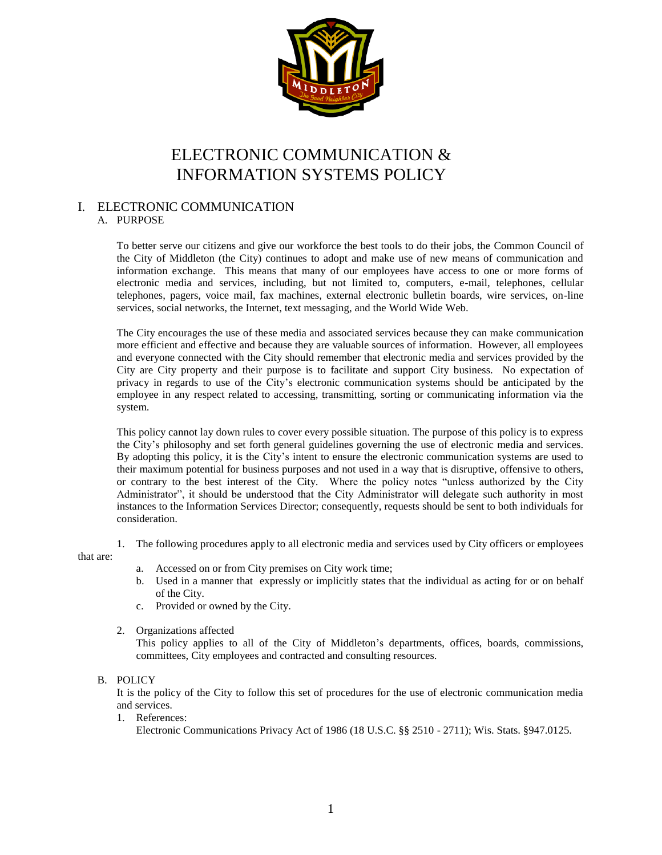

# ELECTRONIC COMMUNICATION & INFORMATION SYSTEMS POLICY

## I. ELECTRONIC COMMUNICATION

## A. PURPOSE

To better serve our citizens and give our workforce the best tools to do their jobs, the Common Council of the City of Middleton (the City) continues to adopt and make use of new means of communication and information exchange. This means that many of our employees have access to one or more forms of electronic media and services, including, but not limited to, computers, e-mail, telephones, cellular telephones, pagers, voice mail, fax machines, external electronic bulletin boards, wire services, on-line services, social networks, the Internet, text messaging, and the World Wide Web.

The City encourages the use of these media and associated services because they can make communication more efficient and effective and because they are valuable sources of information. However, all employees and everyone connected with the City should remember that electronic media and services provided by the City are City property and their purpose is to facilitate and support City business. No expectation of privacy in regards to use of the City's electronic communication systems should be anticipated by the employee in any respect related to accessing, transmitting, sorting or communicating information via the system.

This policy cannot lay down rules to cover every possible situation. The purpose of this policy is to express the City's philosophy and set forth general guidelines governing the use of electronic media and services. By adopting this policy, it is the City's intent to ensure the electronic communication systems are used to their maximum potential for business purposes and not used in a way that is disruptive, offensive to others, or contrary to the best interest of the City. Where the policy notes "unless authorized by the City Administrator", it should be understood that the City Administrator will delegate such authority in most instances to the Information Services Director; consequently, requests should be sent to both individuals for consideration.

1. The following procedures apply to all electronic media and services used by City officers or employees

that are:

- a. Accessed on or from City premises on City work time;
- b. Used in a manner that expressly or implicitly states that the individual as acting for or on behalf of the City.
- c. Provided or owned by the City.
- 2. Organizations affected

This policy applies to all of the City of Middleton's departments, offices, boards, commissions, committees, City employees and contracted and consulting resources.

## B. POLICY

It is the policy of the City to follow this set of procedures for the use of electronic communication media and services.

1. References:

Electronic Communications Privacy Act of 1986 (18 U.S.C. §§ 2510 - 2711); Wis. Stats. §947.0125.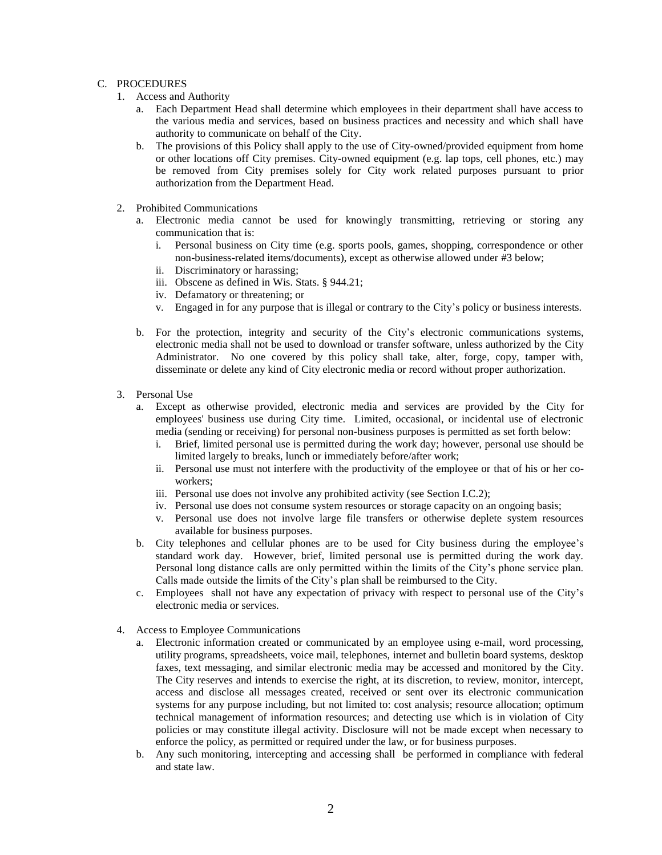## C. PROCEDURES

- 1. Access and Authority
	- a. Each Department Head shall determine which employees in their department shall have access to the various media and services, based on business practices and necessity and which shall have authority to communicate on behalf of the City.
	- b. The provisions of this Policy shall apply to the use of City-owned/provided equipment from home or other locations off City premises. City-owned equipment (e.g. lap tops, cell phones, etc.) may be removed from City premises solely for City work related purposes pursuant to prior authorization from the Department Head.
- 2. Prohibited Communications
	- a. Electronic media cannot be used for knowingly transmitting, retrieving or storing any communication that is:
		- i. Personal business on City time (e.g. sports pools, games, shopping, correspondence or other non-business-related items/documents), except as otherwise allowed under #3 below;
		- ii. Discriminatory or harassing;
		- iii. Obscene as defined in Wis. Stats. § 944.21;
		- iv. Defamatory or threatening; or
		- v. Engaged in for any purpose that is illegal or contrary to the City's policy or business interests.
	- b. For the protection, integrity and security of the City's electronic communications systems, electronic media shall not be used to download or transfer software, unless authorized by the City Administrator. No one covered by this policy shall take, alter, forge, copy, tamper with, disseminate or delete any kind of City electronic media or record without proper authorization.
- 3. Personal Use
	- a. Except as otherwise provided, electronic media and services are provided by the City for employees' business use during City time. Limited, occasional, or incidental use of electronic media (sending or receiving) for personal non-business purposes is permitted as set forth below:
		- i. Brief, limited personal use is permitted during the work day; however, personal use should be limited largely to breaks, lunch or immediately before/after work;
		- ii. Personal use must not interfere with the productivity of the employee or that of his or her coworkers;
		- iii. Personal use does not involve any prohibited activity (see Section I.C.2);
		- iv. Personal use does not consume system resources or storage capacity on an ongoing basis;
		- v. Personal use does not involve large file transfers or otherwise deplete system resources available for business purposes.
	- b. City telephones and cellular phones are to be used for City business during the employee's standard work day. However, brief, limited personal use is permitted during the work day. Personal long distance calls are only permitted within the limits of the City's phone service plan. Calls made outside the limits of the City's plan shall be reimbursed to the City.
	- c. Employees shall not have any expectation of privacy with respect to personal use of the City's electronic media or services.
- 4. Access to Employee Communications
	- a. Electronic information created or communicated by an employee using e-mail, word processing, utility programs, spreadsheets, voice mail, telephones, internet and bulletin board systems, desktop faxes, text messaging, and similar electronic media may be accessed and monitored by the City. The City reserves and intends to exercise the right, at its discretion, to review, monitor, intercept, access and disclose all messages created, received or sent over its electronic communication systems for any purpose including, but not limited to: cost analysis; resource allocation; optimum technical management of information resources; and detecting use which is in violation of City policies or may constitute illegal activity. Disclosure will not be made except when necessary to enforce the policy, as permitted or required under the law, or for business purposes.
	- b. Any such monitoring, intercepting and accessing shall be performed in compliance with federal and state law.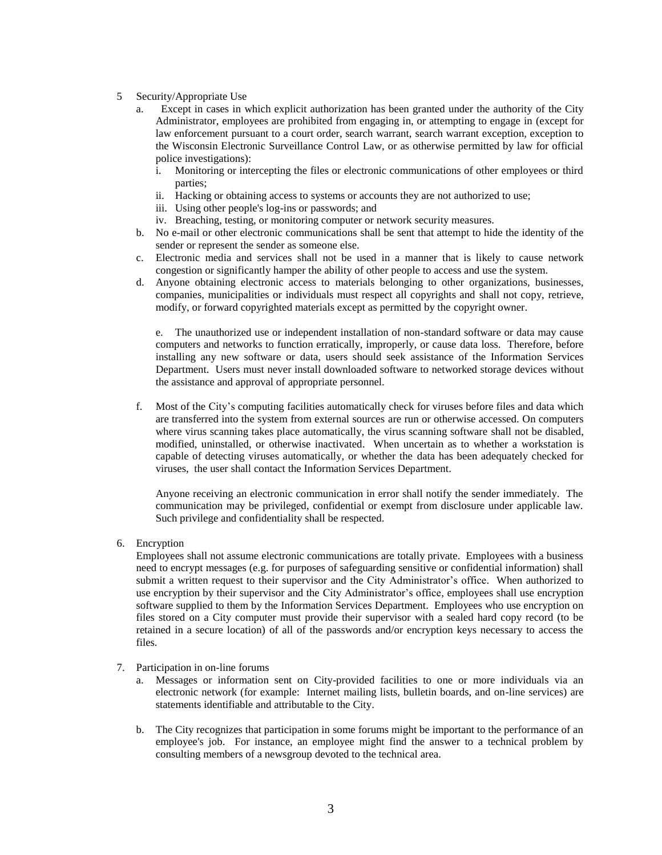- 5 Security/Appropriate Use
	- a. Except in cases in which explicit authorization has been granted under the authority of the City Administrator, employees are prohibited from engaging in, or attempting to engage in (except for law enforcement pursuant to a court order, search warrant, search warrant exception, exception to the Wisconsin Electronic Surveillance Control Law, or as otherwise permitted by law for official police investigations):
		- i. Monitoring or intercepting the files or electronic communications of other employees or third parties;
		- ii. Hacking or obtaining access to systems or accounts they are not authorized to use;
		- iii. Using other people's log-ins or passwords; and
		- iv. Breaching, testing, or monitoring computer or network security measures.
	- b. No e-mail or other electronic communications shall be sent that attempt to hide the identity of the sender or represent the sender as someone else.
	- c. Electronic media and services shall not be used in a manner that is likely to cause network congestion or significantly hamper the ability of other people to access and use the system.
	- d. Anyone obtaining electronic access to materials belonging to other organizations, businesses, companies, municipalities or individuals must respect all copyrights and shall not copy, retrieve, modify, or forward copyrighted materials except as permitted by the copyright owner.

e. The unauthorized use or independent installation of non-standard software or data may cause computers and networks to function erratically, improperly, or cause data loss. Therefore, before installing any new software or data, users should seek assistance of the Information Services Department. Users must never install downloaded software to networked storage devices without the assistance and approval of appropriate personnel.

f. Most of the City's computing facilities automatically check for viruses before files and data which are transferred into the system from external sources are run or otherwise accessed. On computers where virus scanning takes place automatically, the virus scanning software shall not be disabled, modified, uninstalled, or otherwise inactivated. When uncertain as to whether a workstation is capable of detecting viruses automatically, or whether the data has been adequately checked for viruses, the user shall contact the Information Services Department.

Anyone receiving an electronic communication in error shall notify the sender immediately. The communication may be privileged, confidential or exempt from disclosure under applicable law. Such privilege and confidentiality shall be respected.

6. Encryption

Employees shall not assume electronic communications are totally private. Employees with a business need to encrypt messages (e.g. for purposes of safeguarding sensitive or confidential information) shall submit a written request to their supervisor and the City Administrator's office. When authorized to use encryption by their supervisor and the City Administrator's office, employees shall use encryption software supplied to them by the Information Services Department. Employees who use encryption on files stored on a City computer must provide their supervisor with a sealed hard copy record (to be retained in a secure location) of all of the passwords and/or encryption keys necessary to access the files.

- 7. Participation in on-line forums
	- a. Messages or information sent on City-provided facilities to one or more individuals via an electronic network (for example: Internet mailing lists, bulletin boards, and on-line services) are statements identifiable and attributable to the City.
	- b. The City recognizes that participation in some forums might be important to the performance of an employee's job. For instance, an employee might find the answer to a technical problem by consulting members of a newsgroup devoted to the technical area.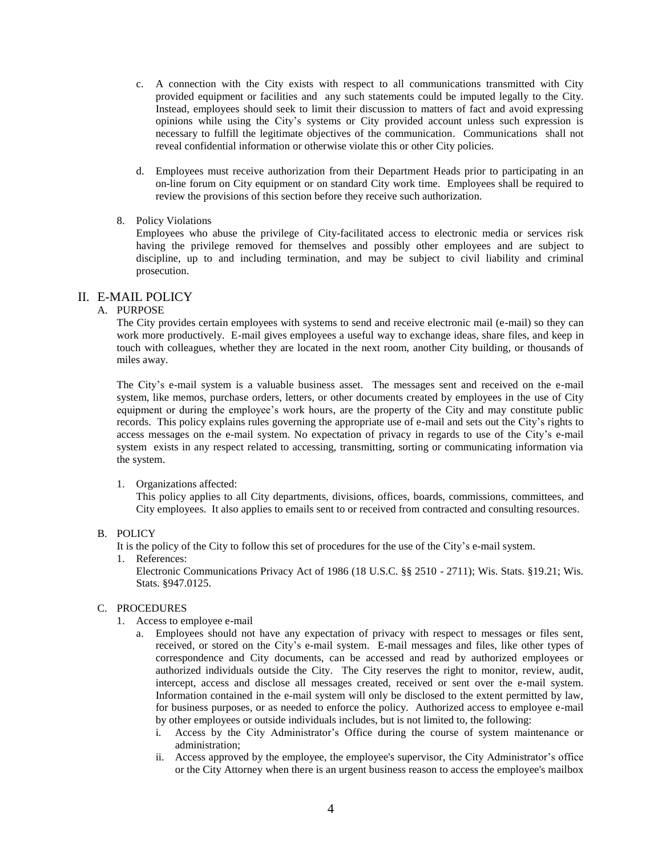- c. A connection with the City exists with respect to all communications transmitted with City provided equipment or facilities and any such statements could be imputed legally to the City. Instead, employees should seek to limit their discussion to matters of fact and avoid expressing opinions while using the City's systems or City provided account unless such expression is necessary to fulfill the legitimate objectives of the communication. Communications shall not reveal confidential information or otherwise violate this or other City policies.
- d. Employees must receive authorization from their Department Heads prior to participating in an on-line forum on City equipment or on standard City work time. Employees shall be required to review the provisions of this section before they receive such authorization.

## 8. Policy Violations

Employees who abuse the privilege of City-facilitated access to electronic media or services risk having the privilege removed for themselves and possibly other employees and are subject to discipline, up to and including termination, and may be subject to civil liability and criminal prosecution.

## II. E-MAIL POLICY

## A. PURPOSE

The City provides certain employees with systems to send and receive electronic mail (e-mail) so they can work more productively. E-mail gives employees a useful way to exchange ideas, share files, and keep in touch with colleagues, whether they are located in the next room, another City building, or thousands of miles away.

The City's e-mail system is a valuable business asset. The messages sent and received on the e-mail system, like memos, purchase orders, letters, or other documents created by employees in the use of City equipment or during the employee's work hours, are the property of the City and may constitute public records. This policy explains rules governing the appropriate use of e-mail and sets out the City's rights to access messages on the e-mail system. No expectation of privacy in regards to use of the City's e-mail system exists in any respect related to accessing, transmitting, sorting or communicating information via the system.

#### 1. Organizations affected:

This policy applies to all City departments, divisions, offices, boards, commissions, committees, and City employees. It also applies to emails sent to or received from contracted and consulting resources.

#### B. POLICY

It is the policy of the City to follow this set of procedures for the use of the City's e-mail system.

1. References:

Electronic Communications Privacy Act of 1986 (18 U.S.C. §§ 2510 - 2711); Wis. Stats. §19.21; Wis. Stats. §947.0125.

## C. PROCEDURES

- 1. Access to employee e-mail
	- a. Employees should not have any expectation of privacy with respect to messages or files sent, received, or stored on the City's e-mail system. E-mail messages and files, like other types of correspondence and City documents, can be accessed and read by authorized employees or authorized individuals outside the City. The City reserves the right to monitor, review, audit, intercept, access and disclose all messages created, received or sent over the e-mail system. Information contained in the e-mail system will only be disclosed to the extent permitted by law, for business purposes, or as needed to enforce the policy. Authorized access to employee e-mail by other employees or outside individuals includes, but is not limited to, the following:
		- i. Access by the City Administrator's Office during the course of system maintenance or administration;
		- ii. Access approved by the employee, the employee's supervisor, the City Administrator's office or the City Attorney when there is an urgent business reason to access the employee's mailbox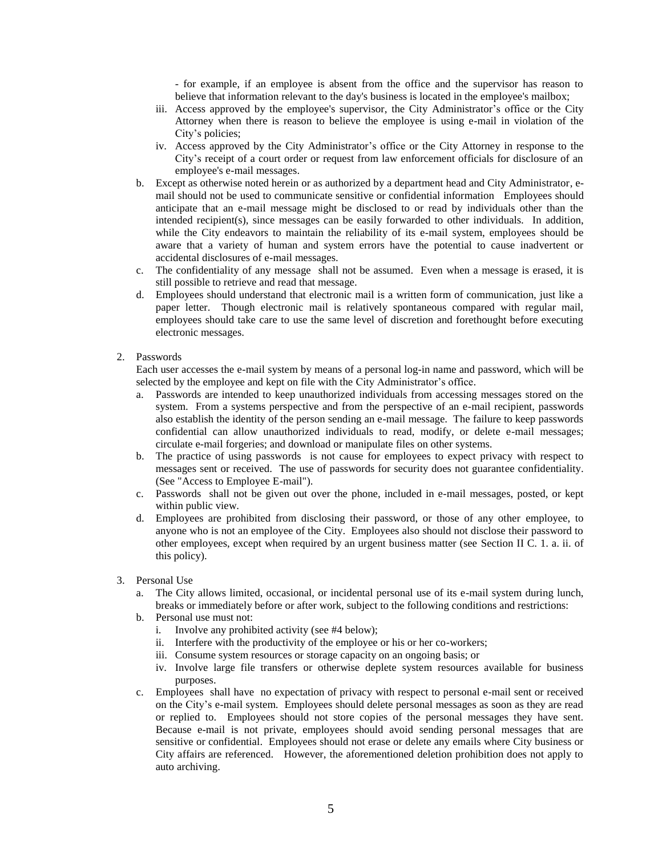- for example, if an employee is absent from the office and the supervisor has reason to believe that information relevant to the day's business is located in the employee's mailbox;

- iii. Access approved by the employee's supervisor, the City Administrator's office or the City Attorney when there is reason to believe the employee is using e-mail in violation of the City's policies;
- iv. Access approved by the City Administrator's office or the City Attorney in response to the City's receipt of a court order or request from law enforcement officials for disclosure of an employee's e-mail messages.
- b. Except as otherwise noted herein or as authorized by a department head and City Administrator, email should not be used to communicate sensitive or confidential information Employees should anticipate that an e-mail message might be disclosed to or read by individuals other than the intended recipient(s), since messages can be easily forwarded to other individuals. In addition, while the City endeavors to maintain the reliability of its e-mail system, employees should be aware that a variety of human and system errors have the potential to cause inadvertent or accidental disclosures of e-mail messages.
- c. The confidentiality of any message shall not be assumed. Even when a message is erased, it is still possible to retrieve and read that message.
- d. Employees should understand that electronic mail is a written form of communication, just like a paper letter. Though electronic mail is relatively spontaneous compared with regular mail, employees should take care to use the same level of discretion and forethought before executing electronic messages.

## 2. Passwords

Each user accesses the e-mail system by means of a personal log-in name and password, which will be selected by the employee and kept on file with the City Administrator's office.

- a. Passwords are intended to keep unauthorized individuals from accessing messages stored on the system. From a systems perspective and from the perspective of an e-mail recipient, passwords also establish the identity of the person sending an e-mail message. The failure to keep passwords confidential can allow unauthorized individuals to read, modify, or delete e-mail messages; circulate e-mail forgeries; and download or manipulate files on other systems.
- b. The practice of using passwords is not cause for employees to expect privacy with respect to messages sent or received. The use of passwords for security does not guarantee confidentiality. (See "Access to Employee E-mail").
- c. Passwords shall not be given out over the phone, included in e-mail messages, posted, or kept within public view.
- d. Employees are prohibited from disclosing their password, or those of any other employee, to anyone who is not an employee of the City. Employees also should not disclose their password to other employees, except when required by an urgent business matter (see Section II C. 1. a. ii. of this policy).
- 3. Personal Use
	- a. The City allows limited, occasional, or incidental personal use of its e-mail system during lunch, breaks or immediately before or after work, subject to the following conditions and restrictions:
	- b. Personal use must not:
		- i. Involve any prohibited activity (see #4 below);
		- ii. Interfere with the productivity of the employee or his or her co-workers;
		- iii. Consume system resources or storage capacity on an ongoing basis; or
		- iv. Involve large file transfers or otherwise deplete system resources available for business purposes.
	- c. Employees shall have no expectation of privacy with respect to personal e-mail sent or received on the City's e-mail system. Employees should delete personal messages as soon as they are read or replied to. Employees should not store copies of the personal messages they have sent. Because e-mail is not private, employees should avoid sending personal messages that are sensitive or confidential. Employees should not erase or delete any emails where City business or City affairs are referenced. However, the aforementioned deletion prohibition does not apply to auto archiving.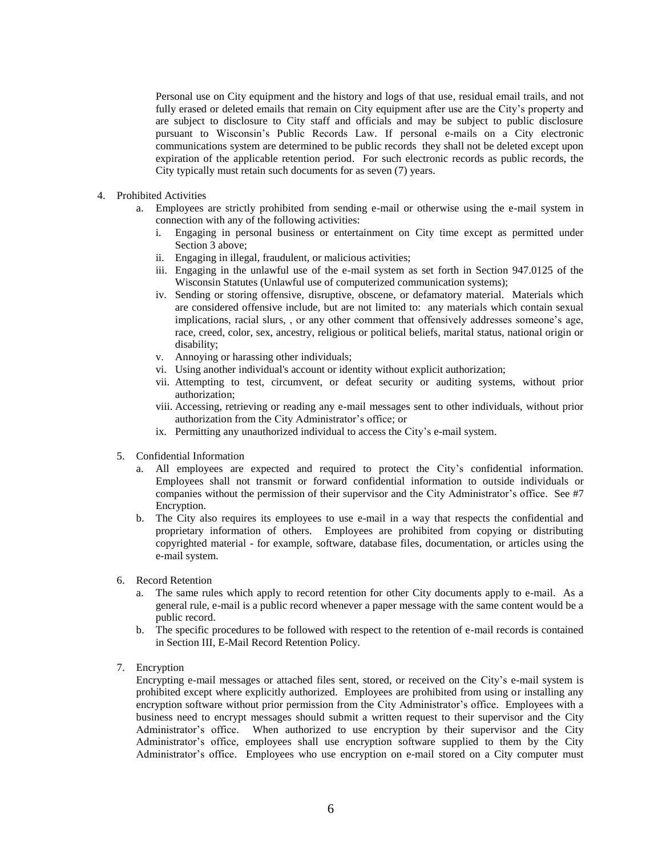Personal use on City equipment and the history and logs of that use, residual email trails, and not fully erased or deleted emails that remain on City equipment after use are the City's property and are subject to disclosure to City staff and officials and may be subject to public disclosure pursuant to Wisconsin's Public Records Law. If personal e-mails on a City electronic communications system are determined to be public records they shall not be deleted except upon expiration of the applicable retention period. For such electronic records as public records, the City typically must retain such documents for as seven (7) years.

- 4. Prohibited Activities
	- a. Employees are strictly prohibited from sending e-mail or otherwise using the e-mail system in connection with any of the following activities:
		- i. Engaging in personal business or entertainment on City time except as permitted under Section 3 above;
		- ii. Engaging in illegal, fraudulent, or malicious activities;
		- iii. Engaging in the unlawful use of the e-mail system as set forth in Section 947.0125 of the Wisconsin Statutes (Unlawful use of computerized communication systems);
		- iv. Sending or storing offensive, disruptive, obscene, or defamatory material. Materials which are considered offensive include, but are not limited to: any materials which contain sexual implications, racial slurs, , or any other comment that offensively addresses someone's age, race, creed, color, sex, ancestry, religious or political beliefs, marital status, national origin or disability;
		- v. Annoying or harassing other individuals;
		- vi. Using another individual's account or identity without explicit authorization;
		- vii. Attempting to test, circumvent, or defeat security or auditing systems, without prior authorization;
		- viii. Accessing, retrieving or reading any e-mail messages sent to other individuals, without prior authorization from the City Administrator's office; or
		- ix. Permitting any unauthorized individual to access the City's e-mail system.
	- 5. Confidential Information
		- a. All employees are expected and required to protect the City's confidential information. Employees shall not transmit or forward confidential information to outside individuals or companies without the permission of their supervisor and the City Administrator's office. See #7 Encryption.
		- b. The City also requires its employees to use e-mail in a way that respects the confidential and proprietary information of others. Employees are prohibited from copying or distributing copyrighted material - for example, software, database files, documentation, or articles using the e-mail system.
	- 6. Record Retention
		- a. The same rules which apply to record retention for other City documents apply to e-mail. As a general rule, e-mail is a public record whenever a paper message with the same content would be a public record.
		- b. The specific procedures to be followed with respect to the retention of e-mail records is contained in Section III, E-Mail Record Retention Policy.
	- 7. Encryption

Encrypting e-mail messages or attached files sent, stored, or received on the City's e-mail system is prohibited except where explicitly authorized. Employees are prohibited from using or installing any encryption software without prior permission from the City Administrator's office. Employees with a business need to encrypt messages should submit a written request to their supervisor and the City Administrator's office. When authorized to use encryption by their supervisor and the City Administrator's office, employees shall use encryption software supplied to them by the City Administrator's office. Employees who use encryption on e-mail stored on a City computer must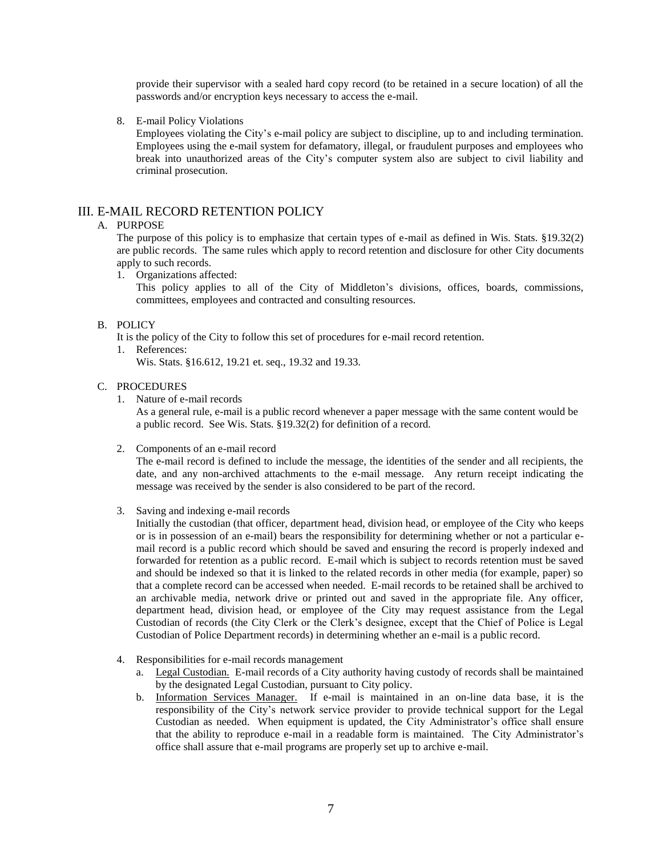provide their supervisor with a sealed hard copy record (to be retained in a secure location) of all the passwords and/or encryption keys necessary to access the e-mail.

8. E-mail Policy Violations

Employees violating the City's e-mail policy are subject to discipline, up to and including termination. Employees using the e-mail system for defamatory, illegal, or fraudulent purposes and employees who break into unauthorized areas of the City's computer system also are subject to civil liability and criminal prosecution.

## III. E-MAIL RECORD RETENTION POLICY

## A. PURPOSE

The purpose of this policy is to emphasize that certain types of e-mail as defined in Wis. Stats. §19.32(2) are public records. The same rules which apply to record retention and disclosure for other City documents apply to such records.

1. Organizations affected:

This policy applies to all of the City of Middleton's divisions, offices, boards, commissions, committees, employees and contracted and consulting resources.

## B. POLICY

It is the policy of the City to follow this set of procedures for e-mail record retention.

1. References:

Wis. Stats. §16.612, 19.21 et. seq., 19.32 and 19.33.

## C. PROCEDURES

1. Nature of e-mail records

As a general rule, e-mail is a public record whenever a paper message with the same content would be a public record. See Wis. Stats. §19.32(2) for definition of a record.

2. Components of an e-mail record

The e-mail record is defined to include the message, the identities of the sender and all recipients, the date, and any non-archived attachments to the e-mail message. Any return receipt indicating the message was received by the sender is also considered to be part of the record.

3. Saving and indexing e-mail records

Initially the custodian (that officer, department head, division head, or employee of the City who keeps or is in possession of an e-mail) bears the responsibility for determining whether or not a particular email record is a public record which should be saved and ensuring the record is properly indexed and forwarded for retention as a public record. E-mail which is subject to records retention must be saved and should be indexed so that it is linked to the related records in other media (for example, paper) so that a complete record can be accessed when needed. E-mail records to be retained shall be archived to an archivable media, network drive or printed out and saved in the appropriate file. Any officer, department head, division head, or employee of the City may request assistance from the Legal Custodian of records (the City Clerk or the Clerk's designee, except that the Chief of Police is Legal Custodian of Police Department records) in determining whether an e-mail is a public record.

- 4. Responsibilities for e-mail records management
	- a. Legal Custodian. E-mail records of a City authority having custody of records shall be maintained by the designated Legal Custodian, pursuant to City policy.
	- b. Information Services Manager. If e-mail is maintained in an on-line data base, it is the responsibility of the City's network service provider to provide technical support for the Legal Custodian as needed. When equipment is updated, the City Administrator's office shall ensure that the ability to reproduce e-mail in a readable form is maintained. The City Administrator's office shall assure that e-mail programs are properly set up to archive e-mail.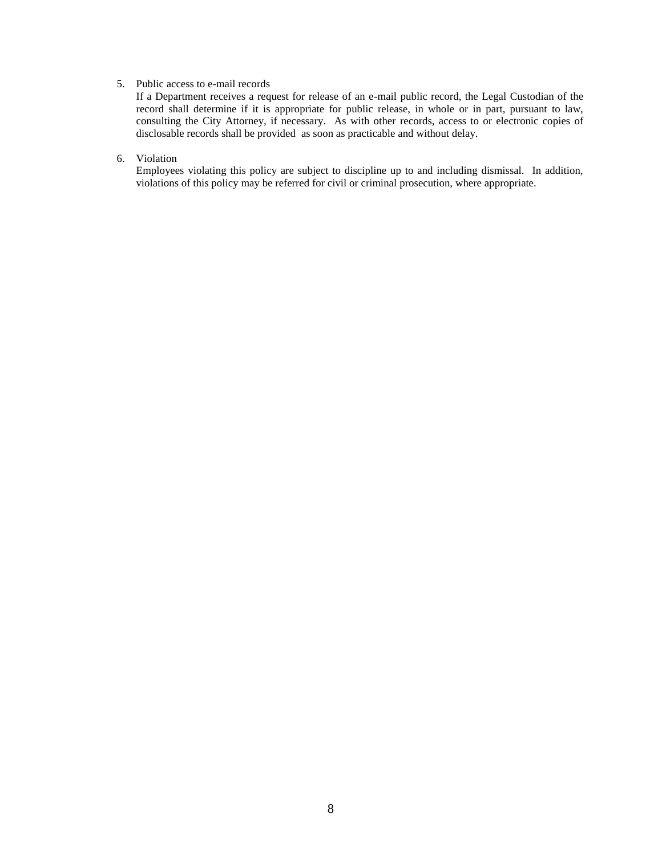## 5. Public access to e-mail records

If a Department receives a request for release of an e-mail public record, the Legal Custodian of the record shall determine if it is appropriate for public release, in whole or in part, pursuant to law, consulting the City Attorney, if necessary. As with other records, access to or electronic copies of disclosable records shall be provided as soon as practicable and without delay.

## 6. Violation

Employees violating this policy are subject to discipline up to and including dismissal. In addition, violations of this policy may be referred for civil or criminal prosecution, where appropriate.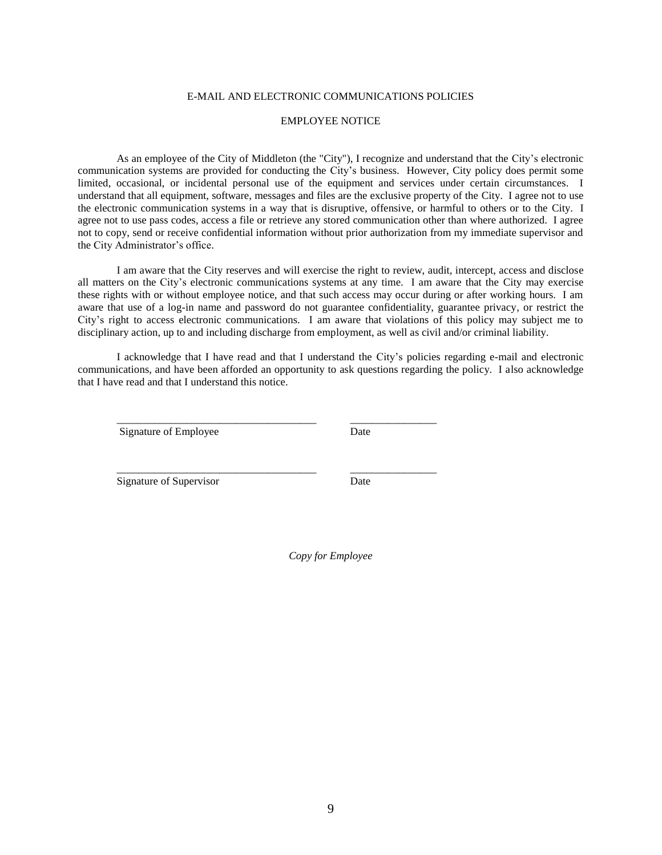## E-MAIL AND ELECTRONIC COMMUNICATIONS POLICIES

#### EMPLOYEE NOTICE

As an employee of the City of Middleton (the "City"), I recognize and understand that the City's electronic communication systems are provided for conducting the City's business. However, City policy does permit some limited, occasional, or incidental personal use of the equipment and services under certain circumstances. I understand that all equipment, software, messages and files are the exclusive property of the City. I agree not to use the electronic communication systems in a way that is disruptive, offensive, or harmful to others or to the City. I agree not to use pass codes, access a file or retrieve any stored communication other than where authorized. I agree not to copy, send or receive confidential information without prior authorization from my immediate supervisor and the City Administrator's office.

I am aware that the City reserves and will exercise the right to review, audit, intercept, access and disclose all matters on the City's electronic communications systems at any time. I am aware that the City may exercise these rights with or without employee notice, and that such access may occur during or after working hours. I am aware that use of a log-in name and password do not guarantee confidentiality, guarantee privacy, or restrict the City's right to access electronic communications. I am aware that violations of this policy may subject me to disciplinary action, up to and including discharge from employment, as well as civil and/or criminal liability.

I acknowledge that I have read and that I understand the City's policies regarding e-mail and electronic communications, and have been afforded an opportunity to ask questions regarding the policy. I also acknowledge that I have read and that I understand this notice.

\_\_\_\_\_\_\_\_\_\_\_\_\_\_\_\_\_\_\_\_\_\_\_\_\_\_\_\_\_\_\_\_\_\_\_\_\_ \_\_\_\_\_\_\_\_\_\_\_\_\_\_\_\_

\_\_\_\_\_\_\_\_\_\_\_\_\_\_\_\_\_\_\_\_\_\_\_\_\_\_\_\_\_\_\_\_\_\_\_\_\_ \_\_\_\_\_\_\_\_\_\_\_\_\_\_\_\_

Signature of Employee Date

Signature of Supervisor Date

*Copy for Employee*